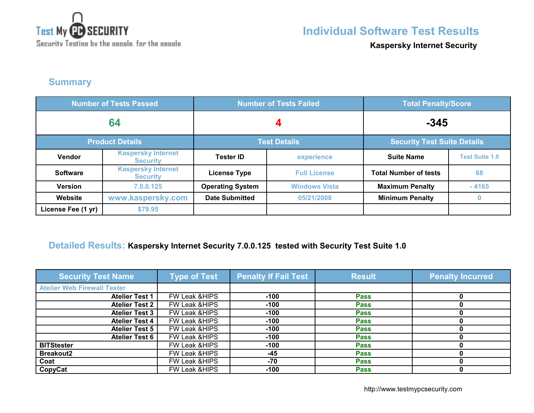

## **Individual Software Test Results**

**Kaspersky Internet Security**

### **Summary**

| <b>Number of Tests Passed</b> |                                              | <b>Number of Tests Failed</b> |                      | <b>Total Penalty/Score</b>         |                       |
|-------------------------------|----------------------------------------------|-------------------------------|----------------------|------------------------------------|-----------------------|
| 64                            |                                              |                               |                      | $-345$                             |                       |
|                               | <b>Product Details</b>                       | <b>Test Details</b>           |                      | <b>Security Test Suite Details</b> |                       |
| Vendor                        | <b>Kaspersky Internet</b><br><b>Security</b> | <b>Tester ID</b>              | experience           | <b>Suite Name</b>                  | <b>Test Suite 1.0</b> |
| <b>Software</b>               | <b>Kaspersky Internet</b><br><b>Security</b> | <b>License Type</b>           | <b>Full License</b>  | <b>Total Number of tests</b>       | 68                    |
| <b>Version</b>                | 7.0.0.125                                    | <b>Operating System</b>       | <b>Windows Vista</b> | <b>Maximum Penalty</b>             | $-4165$               |
| Website                       | www.kaspersky.com                            | <b>Date Submitted</b>         | 05/21/2008           | <b>Minimum Penalty</b>             | $\bf{0}$              |
| License Fee (1 yr)            | \$79.95                                      |                               |                      |                                    |                       |

### **Detailed Results: Kaspersky Internet Security 7.0.0.125 tested with Security Test Suite 1.0**

| <b>Security Test Name</b>          | <b>Type of Test</b>      | <b>Penalty If Fail Test</b> | <b>Result</b> | <b>Penalty Incurred</b> |
|------------------------------------|--------------------------|-----------------------------|---------------|-------------------------|
| <b>Atelier Web Firewall Tester</b> |                          |                             |               |                         |
| <b>Atelier Test 1</b>              | <b>FW Leak &amp;HIPS</b> | $-100$                      | <b>Pass</b>   |                         |
| <b>Atelier Test 2</b>              | FW Leak & HIPS           | $-100$                      | <b>Pass</b>   |                         |
| <b>Atelier Test 3</b>              | FW Leak & HIPS           | $-100$                      | <b>Pass</b>   |                         |
| <b>Atelier Test 4</b>              | FW Leak & HIPS           | $-100$                      | <b>Pass</b>   |                         |
| <b>Atelier Test 5</b>              | FW Leak & HIPS           | $-100$                      | <b>Pass</b>   |                         |
| <b>Atelier Test 6</b>              | FW Leak & HIPS           | $-100$                      | <b>Pass</b>   |                         |
| <b>BITStester</b>                  | FW Leak & HIPS           | $-100$                      | <b>Pass</b>   |                         |
| <b>Breakout2</b>                   | <b>FW Leak &amp;HIPS</b> | $-45$                       | <b>Pass</b>   |                         |
| Coat                               | FW Leak & HIPS           | -70                         | <b>Pass</b>   |                         |
| CopyCat                            | FW Leak & HIPS           | $-100$                      | <b>Pass</b>   |                         |

http://www.testmypcsecurity.com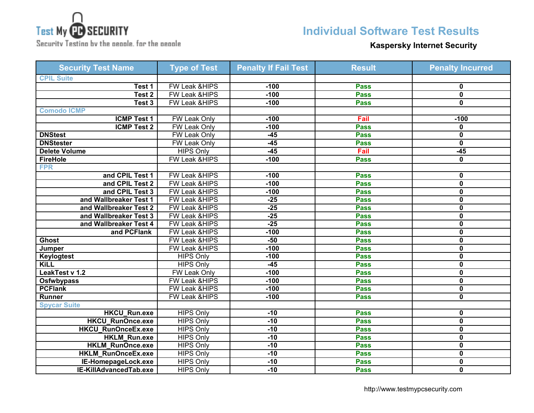

Security Testing by the geople, for the geople

# **Individual Software Test Results**

#### **Kaspersky Internet Security**

| <b>Security Test Name</b> | <b>Type of Test</b>      | <b>Penalty If Fail Test</b> | <b>Result</b> | <b>Penalty Incurred</b> |
|---------------------------|--------------------------|-----------------------------|---------------|-------------------------|
| <b>CPIL Suite</b>         |                          |                             |               |                         |
| Test 1                    | FW Leak &HIPS            | $-100$                      | <b>Pass</b>   | 0                       |
| Test 2                    | <b>FW Leak &amp;HIPS</b> | $-100$                      | <b>Pass</b>   | $\overline{\mathbf{0}}$ |
| Test 3                    | FW Leak &HIPS            | $-100$                      | <b>Pass</b>   | 0                       |
| <b>Comodo ICMP</b>        |                          |                             |               |                         |
| <b>ICMP Test 1</b>        | <b>FW Leak Only</b>      | $-100$                      | Fail          | $-100$                  |
| <b>ICMP Test 2</b>        | <b>FW Leak Only</b>      | $-100$                      | <b>Pass</b>   | 0                       |
| <b>DNStest</b>            | FW Leak Only             | $-45$                       | <b>Pass</b>   | 0                       |
| <b>DNStester</b>          | <b>FW Leak Only</b>      | $-45$                       | <b>Pass</b>   | 0                       |
| <b>Delete Volume</b>      | <b>HIPS Only</b>         | $-45$                       | Fail          | $-45$                   |
| <b>FireHole</b>           | FW Leak &HIPS            | $-100$                      | <b>Pass</b>   | 0                       |
| <b>FPR</b>                |                          |                             |               |                         |
| and CPIL Test 1           | FW Leak &HIPS            | $-100$                      | <b>Pass</b>   | 0                       |
| and CPIL Test 2           | FW Leak &HIPS            | $-100$                      | <b>Pass</b>   | $\mathbf 0$             |
| and CPIL Test 3           | FW Leak &HIPS            | $-100$                      | <b>Pass</b>   | 0                       |
| and Wallbreaker Test 1    | FW Leak &HIPS            | $-25$                       | <b>Pass</b>   | 0                       |
| and Wallbreaker Test 2    | FW Leak &HIPS            | $-25$                       | <b>Pass</b>   | 0                       |
| and Wallbreaker Test 3    | FW Leak &HIPS            | $-25$                       | <b>Pass</b>   | 0                       |
| and Wallbreaker Test 4    | FW Leak &HIPS            | $-25$                       | <b>Pass</b>   | 0                       |
| and PCFlank               | FW Leak &HIPS            | $-100$                      | <b>Pass</b>   | 0                       |
| <b>Ghost</b>              | FW Leak &HIPS            | $-50$                       | <b>Pass</b>   | 0                       |
| Jumper                    | <b>FW Leak &amp;HIPS</b> | $-100$                      | <b>Pass</b>   | 0                       |
| <b>Keylogtest</b>         | <b>HIPS Only</b>         | $-100$                      | <b>Pass</b>   | 0                       |
| <b>KiLL</b>               | <b>HIPS Only</b>         | $-45$                       | <b>Pass</b>   | 0                       |
| LeakTest v 1.2            | <b>FW Leak Only</b>      | $-100$                      | <b>Pass</b>   | 0                       |
| <b>Osfwbypass</b>         | FW Leak &HIPS            | $-100$                      | <b>Pass</b>   | 0                       |
| <b>PCFlank</b>            | FW Leak &HIPS            | $-100$                      | <b>Pass</b>   | $\mathbf 0$             |
| <b>Runner</b>             | FW Leak &HIPS            | $-100$                      | <b>Pass</b>   | 0                       |
| <b>Spycar Suite</b>       |                          |                             |               |                         |
| <b>HKCU_Run.exe</b>       | <b>HIPS Only</b>         | $-10$                       | <b>Pass</b>   | $\mathbf 0$             |
| <b>HKCU RunOnce.exe</b>   | <b>HIPS Only</b>         | $-10$                       | <b>Pass</b>   | 0                       |
| <b>HKCU_RunOnceEx.exe</b> | <b>HIPS Only</b>         | $-10$                       | <b>Pass</b>   | 0                       |
| <b>HKLM_Run.exe</b>       | <b>HIPS Only</b>         | $-10$                       | <b>Pass</b>   | 0                       |
| <b>HKLM RunOnce.exe</b>   | <b>HIPS Only</b>         | $-10$                       | <b>Pass</b>   | 0                       |
| <b>HKLM RunOnceEx.exe</b> | <b>HIPS Only</b>         | $-10$                       | <b>Pass</b>   | 0                       |
| IE-HomepageLock.exe       | <b>HIPS Only</b>         | $-10$                       | <b>Pass</b>   | 0                       |
| IE-KillAdvancedTab.exe    | <b>HIPS Only</b>         | $-10$                       | <b>Pass</b>   | 0                       |